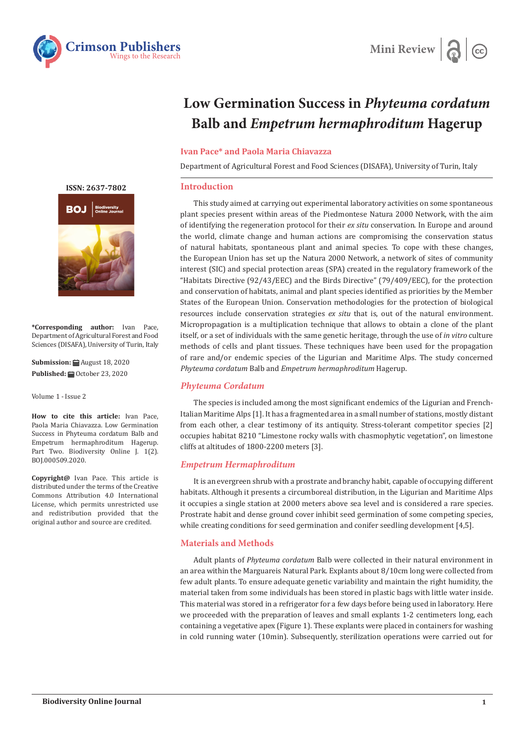



# **Low Germination Success in** *Phyteuma cordatum* **Balb and** *Empetrum hermaphroditum* **Hagerup**

#### **Ivan Pace\* and Paola Maria Chiavazza**

Department of Agricultural Forest and Food Sciences (DISAFA), University of Turin, Italy

#### **Introduction**

This study aimed at carrying out experimental laboratory activities on some spontaneous plant species present within areas of the Piedmontese Natura 2000 Network, with the aim of identifying the regeneration protocol for their *ex situ* conservation. In Europe and around the world, climate change and human actions are compromising the conservation status of natural habitats, spontaneous plant and animal species. To cope with these changes, the European Union has set up the Natura 2000 Network, a network of sites of community interest (SIC) and special protection areas (SPA) created in the regulatory framework of the "Habitats Directive (92/43/EEC) and the Birds Directive" (79/409/EEC), for the protection and conservation of habitats, animal and plant species identified as priorities by the Member States of the European Union. Conservation methodologies for the protection of biological resources include conservation strategies *ex situ* that is, out of the natural environment. Micropropagation is a multiplication technique that allows to obtain a clone of the plant itself, or a set of individuals with the same genetic heritage, through the use of *in vitro* culture methods of cells and plant tissues. These techniques have been used for the propagation of rare and/or endemic species of the Ligurian and Maritime Alps. The study concerned *Phyteuma cordatum* Balb and *Empetrum hermaphroditum* Hagerup.

### *Phyteuma Cordatum*

The species is included among the most significant endemics of the Ligurian and French-Italian Maritime Alps [1]. It has a fragmented area in a small number of stations, mostly distant from each other, a clear testimony of its antiquity. Stress-tolerant competitor species [2] occupies habitat 8210 "Limestone rocky walls with chasmophytic vegetation", on limestone cliffs at altitudes of 1800-2200 meters [3].

### *Empetrum Hermaphroditum*

It is an evergreen shrub with a prostrate and branchy habit, capable of occupying different habitats. Although it presents a circumboreal distribution, in the Ligurian and Maritime Alps it occupies a single station at 2000 meters above sea level and is considered a rare species. Prostrate habit and dense ground cover inhibit seed germination of some competing species, while creating conditions for seed germination and conifer seedling development [4,5].

### **Materials and Methods**

Adult plants of *Phyteuma cordatum* Balb were collected in their natural environment in an area within the Marguareis Natural Park. Explants about 8/10cm long were collected from few adult plants. To ensure adequate genetic variability and maintain the right humidity, the material taken from some individuals has been stored in plastic bags with little water inside. This material was stored in a refrigerator for a few days before being used in laboratory. Here we proceeded with the preparation of leaves and small explants 1-2 centimeters long, each containing a vegetative apex (Figure 1). These explants were placed in containers for washing in cold running water (10min). Subsequently, sterilization operations were carried out for

**[ISSN: 2637-7802](https://crimsonpublishers.com/boj/)**



**\*Corresponding author:** Ivan Pace, Department of Agricultural Forest and Food Sciences (DISAFA), University of Turin, Italy

**Submission:** *a* August 18, 2020 **Published:** October 23, 2020

Volume 1 - Issue 2

**How to cite this article:** Ivan Pace, Paola Maria Chiavazza. Low Germination Success in Phyteuma cordatum Balb and Empetrum hermaphroditum Hagerup. Part Two. Biodiversity Online J. 1(2). BOJ.000509.2020.

**Copyright@** Ivan Pace. This article is distributed under the terms of the Creative Commons Attribution 4.0 International License, which permits unrestricted use and redistribution provided that the original author and source are credited.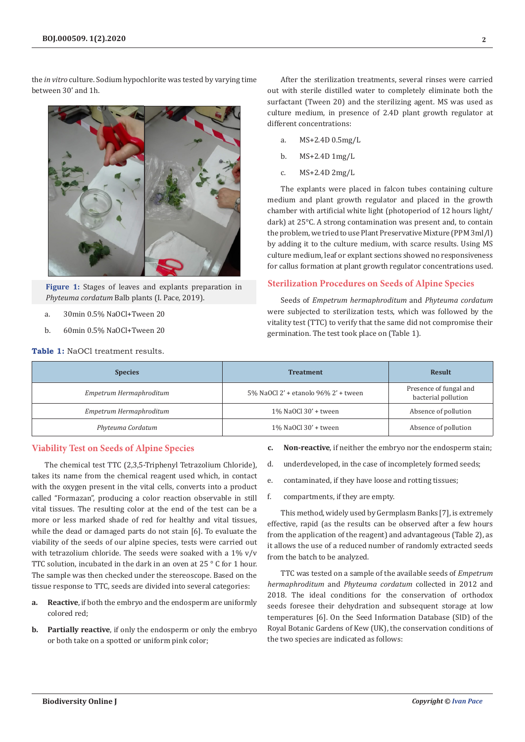the *in vitro* culture. Sodium hypochlorite was tested by varying time between 30' and 1h.



**Figure 1:** Stages of leaves and explants preparation in *Phyteuma cordatum* Balb plants (I. Pace, 2019).

- a. 30min 0.5% NaOCl+Tween 20
- b. 60min 0.5% NaOCl+Tween 20

**Table 1:** NaOCl treatment results.

After the sterilization treatments, several rinses were carried out with sterile distilled water to completely eliminate both the surfactant (Tween 20) and the sterilizing agent. MS was used as culture medium, in presence of 2.4D plant growth regulator at different concentrations:

- a. MS+2.4D 0.5mg/L
- b. MS+2.4D 1mg/L
- c. MS+2.4D 2mg/L

The explants were placed in falcon tubes containing culture medium and plant growth regulator and placed in the growth chamber with artificial white light (photoperiod of 12 hours light/ dark) at 25°C. A strong contamination was present and, to contain the problem, we tried to use Plant Preservative Mixture (PPM 3ml/l) by adding it to the culture medium, with scarce results. Using MS culture medium, leaf or explant sections showed no responsiveness for callus formation at plant growth regulator concentrations used.

### **Sterilization Procedures on Seeds of Alpine Species**

Seeds of *Empetrum hermaphroditum* and *Phyteuma cordatum* were subjected to sterilization tests, which was followed by the vitality test (TTC) to verify that the same did not compromise their germination. The test took place on (Table 1).

| <b>Species</b>          | <b>Treatment</b>                     | <b>Result</b>                                 |
|-------------------------|--------------------------------------|-----------------------------------------------|
| Empetrum Hermaphroditum | 5% NaOCl 2' + etanolo 96% 2' + tween | Presence of fungal and<br>bacterial pollution |
| Empetrum Hermaphroditum | $1\%$ NaOCl 30' + tween              | Absence of pollution                          |
| Phyteuma Cordatum       | 1% NaOCl 30' + tween                 | Absence of pollution                          |

## **Viability Test on Seeds of Alpine Species**

The chemical test TTC (2,3,5-Triphenyl Tetrazolium Chloride), takes its name from the chemical reagent used which, in contact with the oxygen present in the vital cells, converts into a product called "Formazan", producing a color reaction observable in still vital tissues. The resulting color at the end of the test can be a more or less marked shade of red for healthy and vital tissues, while the dead or damaged parts do not stain [6]. To evaluate the viability of the seeds of our alpine species, tests were carried out with tetrazolium chloride. The seeds were soaked with a 1% v/v TTC solution, incubated in the dark in an oven at 25 ° C for 1 hour. The sample was then checked under the stereoscope. Based on the tissue response to TTC, seeds are divided into several categories:

- **a. Reactive**, if both the embryo and the endosperm are uniformly colored red;
- **b. Partially reactive**, if only the endosperm or only the embryo or both take on a spotted or uniform pink color;
- **c. Non-reactive**, if neither the embryo nor the endosperm stain;
- d. underdeveloped, in the case of incompletely formed seeds;
- e. contaminated, if they have loose and rotting tissues;
- f. compartments, if they are empty.

This method, widely used by Germplasm Banks [7], is extremely effective, rapid (as the results can be observed after a few hours from the application of the reagent) and advantageous (Table 2), as it allows the use of a reduced number of randomly extracted seeds from the batch to be analyzed.

TTC was tested on a sample of the available seeds of *Empetrum hermaphroditum* and *Phyteuma cordatum* collected in 2012 and 2018. The ideal conditions for the conservation of orthodox seeds foresee their dehydration and subsequent storage at low temperatures [6]. On the Seed Information Database (SID) of the Royal Botanic Gardens of Kew (UK), the conservation conditions of the two species are indicated as follows: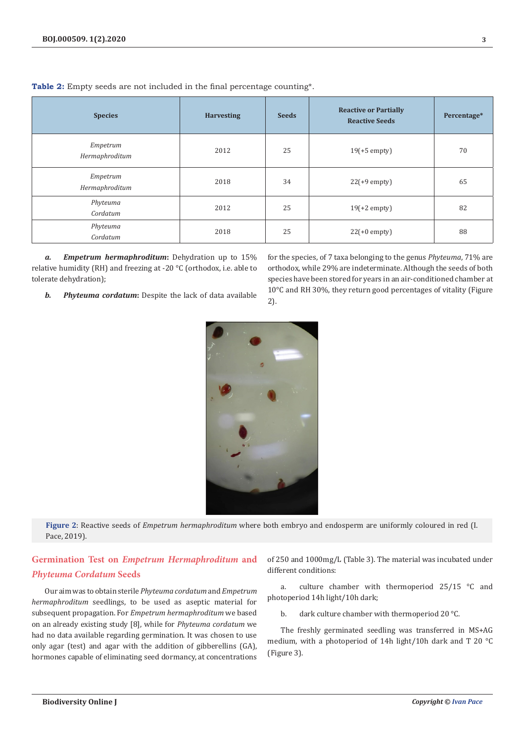| <b>Species</b>             | <b>Harvesting</b> | <b>Seeds</b> | <b>Reactive or Partially</b><br><b>Reactive Seeds</b> | Percentage* |
|----------------------------|-------------------|--------------|-------------------------------------------------------|-------------|
| Empetrum<br>Hermaphroditum | 2012              | 25           | $19(+5$ empty)                                        | 70          |
| Empetrum<br>Hermaphroditum | 2018              | 34           | $22(+9$ empty)                                        | 65          |
| Phyteuma<br>Cordatum       | 2012              | 25           | $19(+2$ empty)                                        | 82          |
| Phyteuma<br>Cordatum       | 2018              | 25           | $22(+0$ empty)                                        | 88          |

**Table 2:** Empty seeds are not included in the final percentage counting\*.

*a. Empetrum hermaphroditum***:** Dehydration up to 15% relative humidity (RH) and freezing at -20 °C (orthodox, i.e. able to tolerate dehydration);

*b. Phyteuma cordatum***:** Despite the lack of data available

for the species, of 7 taxa belonging to the genus *Phyteuma*, 71% are orthodox, while 29% are indeterminate. Although the seeds of both species have been stored for years in an air-conditioned chamber at 10°C and RH 30%, they return good percentages of vitality (Figure 2).

Pace, 2019).

*Phyteuma Cordatum* **Seeds**

Our aim was to obtain sterile *Phyteuma cordatum* and *Empetrum hermaphroditum* seedlings, to be used as aseptic material for subsequent propagation. For *Empetrum hermaphroditum* we based on an already existing study [8], while for *Phyteuma cordatum* we had no data available regarding germination. It was chosen to use only agar (test) and agar with the addition of gibberellins (GA),

hormones capable of eliminating seed dormancy, at concentrations

**Germination Test on** *Empetrum Hermaphroditum* **and** 

of 250 and 1000mg/L (Table 3). The material was incubated under different conditions:

a. culture chamber with thermoperiod 25/15 °C and photoperiod 14h light/10h dark;

b. dark culture chamber with thermoperiod 20 °C.

The freshly germinated seedling was transferred in MS+AG medium, with a photoperiod of 14h light/10h dark and T 20 °C (Figure 3).



**Figure 2**: Reactive seeds of *Empetrum hermaphroditum* where both embryo and endosperm are uniformly coloured in red (I.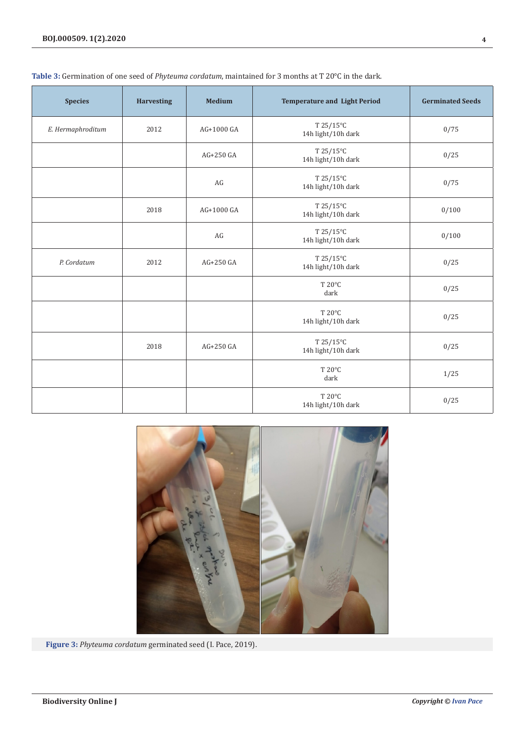| <b>Species</b>    | <b>Harvesting</b> | <b>Medium</b> | <b>Temperature and Light Period</b> | <b>Germinated Seeds</b> |
|-------------------|-------------------|---------------|-------------------------------------|-------------------------|
| E. Hermaphroditum | 2012              | AG+1000 GA    | T 25/15°C<br>14h light/10h dark     | 0/75                    |
|                   |                   | AG+250 GA     | T 25/15°C<br>14h light/10h dark     | 0/25                    |
|                   |                   | AG            | T 25/15°C<br>14h light/10h dark     | 0/75                    |
|                   | 2018              | AG+1000 GA    | T 25/15°C<br>14h light/10h dark     | 0/100                   |
|                   |                   | AG            | T 25/15°C<br>14h light/10h dark     | 0/100                   |
| P. Cordatum       | 2012              | AG+250 GA     | T 25/15°C<br>14h light/10h dark     | 0/25                    |
|                   |                   |               | T 20°C<br>dark                      | 0/25                    |
|                   |                   |               | T 20°C<br>14h light/10h dark        | 0/25                    |
|                   | 2018              | AG+250 GA     | T 25/15°C<br>14h light/10h dark     | 0/25                    |
|                   |                   |               | T 20°C<br>dark                      | 1/25                    |
|                   |                   |               | T 20°C<br>14h light/10h dark        | 0/25                    |

# **Table 3:** Germination of one seed of *Phyteuma cordatum*, maintained for 3 months at T 20°C in the dark.



**Figure 3:** *Phyteuma cordatum* germinated seed (I. Pace, 2019).